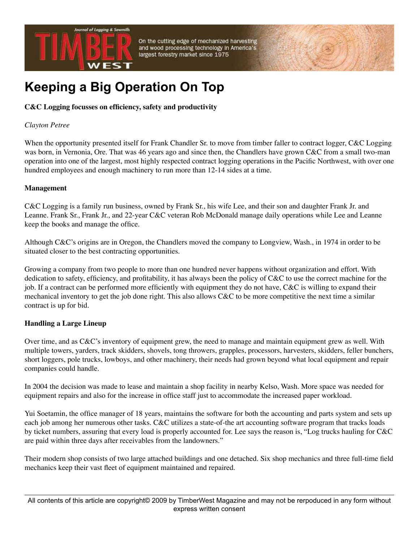

On the cutting edge of mechanized harvesting and wood processing technology in America's largest forestry market since 1975

# **Keeping a Big Operation On Top**

### **C&C Logging focusses on efficiency, safety and productivity**

#### *Clayton Petree*

When the opportunity presented itself for Frank Chandler Sr. to move from timber faller to contract logger, C&C Logging was born, in Vernonia, Ore. That was 46 years ago and since then, the Chandlers have grown C&C from a small two-man operation into one of the largest, most highly respected contract logging operations in the Pacific Northwest, with over one hundred employees and enough machinery to run more than 12-14 sides at a time.

#### **Management**

C&C Logging is a family run business, owned by Frank Sr., his wife Lee, and their son and daughter Frank Jr. and Leanne. Frank Sr., Frank Jr., and 22-year C&C veteran Rob McDonald manage daily operations while Lee and Leanne keep the books and manage the office.

Although C&C's origins are in Oregon, the Chandlers moved the company to Longview, Wash., in 1974 in order to be situated closer to the best contracting opportunities.

Growing a company from two people to more than one hundred never happens without organization and effort. With dedication to safety, efficiency, and profitability, it has always been the policy of C&C to use the correct machine for the job. If a contract can be performed more efficiently with equipment they do not have, C&C is willing to expand their mechanical inventory to get the job done right. This also allows C&C to be more competitive the next time a similar contract is up for bid.

#### **Handling a Large Lineup**

Over time, and as C&C's inventory of equipment grew, the need to manage and maintain equipment grew as well. With multiple towers, yarders, track skidders, shovels, tong throwers, grapples, processors, harvesters, skidders, feller bunchers, short loggers, pole trucks, lowboys, and other machinery, their needs had grown beyond what local equipment and repair companies could handle.

In 2004 the decision was made to lease and maintain a shop facility in nearby Kelso, Wash. More space was needed for equipment repairs and also for the increase in office staff just to accommodate the increased paper workload.

Yui Soetamin, the office manager of 18 years, maintains the software for both the accounting and parts system and sets up each job among her numerous other tasks. C&C utilizes a state-of-the art accounting software program that tracks loads by ticket numbers, assuring that every load is properly accounted for. Lee says the reason is, "Log trucks hauling for C&C are paid within three days after receivables from the landowners."

Their modern shop consists of two large attached buildings and one detached. Six shop mechanics and three full-time field mechanics keep their vast fleet of equipment maintained and repaired.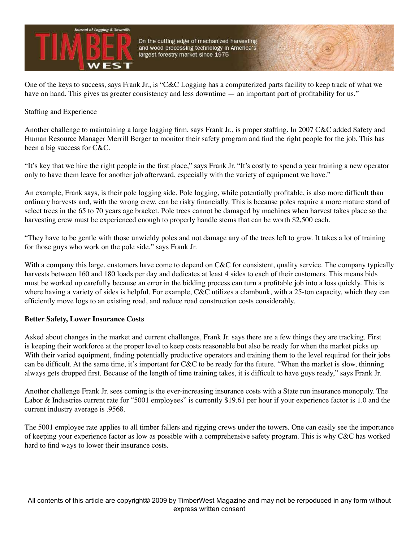

One of the keys to success, says Frank Jr., is "C&C Logging has a computerized parts facility to keep track of what we have on hand. This gives us greater consistency and less downtime — an important part of profitability for us."

Staffing and Experience

Another challenge to maintaining a large logging firm, says Frank Jr., is proper staffing. In 2007 C&C added Safety and Human Resource Manager Merrill Berger to monitor their safety program and find the right people for the job. This has been a big success for C&C.

"It's key that we hire the right people in the first place," says Frank Jr. "It's costly to spend a year training a new operator only to have them leave for another job afterward, especially with the variety of equipment we have."

An example, Frank says, is their pole logging side. Pole logging, while potentially profitable, is also more difficult than ordinary harvests and, with the wrong crew, can be risky financially. This is because poles require a more mature stand of select trees in the 65 to 70 years age bracket. Pole trees cannot be damaged by machines when harvest takes place so the harvesting crew must be experienced enough to properly handle stems that can be worth \$2,500 each.

"They have to be gentle with those unwieldy poles and not damage any of the trees left to grow. It takes a lot of training for those guys who work on the pole side," says Frank Jr.

With a company this large, customers have come to depend on C&C for consistent, quality service. The company typically harvests between 160 and 180 loads per day and dedicates at least 4 sides to each of their customers. This means bids must be worked up carefully because an error in the bidding process can turn a profitable job into a loss quickly. This is where having a variety of sides is helpful. For example, C&C utilizes a clambunk, with a 25-ton capacity, which they can efficiently move logs to an existing road, and reduce road construction costs considerably.

#### **Better Safety, Lower Insurance Costs**

Asked about changes in the market and current challenges, Frank Jr. says there are a few things they are tracking. First is keeping their workforce at the proper level to keep costs reasonable but also be ready for when the market picks up. With their varied equipment, finding potentially productive operators and training them to the level required for their jobs can be difficult. At the same time, it's important for C&C to be ready for the future. "When the market is slow, thinning always gets dropped first. Because of the length of time training takes, it is difficult to have guys ready," says Frank Jr.

Another challenge Frank Jr. sees coming is the ever-increasing insurance costs with a State run insurance monopoly. The Labor & Industries current rate for "5001 employees" is currently \$19.61 per hour if your experience factor is 1.0 and the current industry average is .9568.

The 5001 employee rate applies to all timber fallers and rigging crews under the towers. One can easily see the importance of keeping your experience factor as low as possible with a comprehensive safety program. This is why C&C has worked hard to find ways to lower their insurance costs.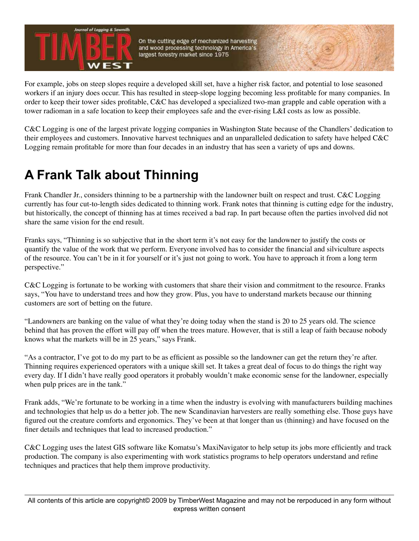

On the cutting edge of mechanized harvesting and wood processing technology in America's largest forestry market since 1975

For example, jobs on steep slopes require a developed skill set, have a higher risk factor, and potential to lose seasoned workers if an injury does occur. This has resulted in steep-slope logging becoming less profitable for many companies. In order to keep their tower sides profitable, C&C has developed a specialized two-man grapple and cable operation with a tower radioman in a safe location to keep their employees safe and the ever-rising L&I costs as low as possible.

C&C Logging is one of the largest private logging companies in Washington State because of the Chandlers' dedication to their employees and customers. Innovative harvest techniques and an unparalleled dedication to safety have helped C&C Logging remain profitable for more than four decades in an industry that has seen a variety of ups and downs.

## **A Frank Talk about Thinning**

Frank Chandler Jr., considers thinning to be a partnership with the landowner built on respect and trust. C&C Logging currently has four cut-to-length sides dedicated to thinning work. Frank notes that thinning is cutting edge for the industry, but historically, the concept of thinning has at times received a bad rap. In part because often the parties involved did not share the same vision for the end result.

Franks says, "Thinning is so subjective that in the short term it's not easy for the landowner to justify the costs or quantify the value of the work that we perform. Everyone involved has to consider the financial and silviculture aspects of the resource. You can't be in it for yourself or it's just not going to work. You have to approach it from a long term perspective."

C&C Logging is fortunate to be working with customers that share their vision and commitment to the resource. Franks says, "You have to understand trees and how they grow. Plus, you have to understand markets because our thinning customers are sort of betting on the future.

"Landowners are banking on the value of what they're doing today when the stand is 20 to 25 years old. The science behind that has proven the effort will pay off when the trees mature. However, that is still a leap of faith because nobody knows what the markets will be in 25 years," says Frank.

"As a contractor, I've got to do my part to be as efficient as possible so the landowner can get the return they're after. Thinning requires experienced operators with a unique skill set. It takes a great deal of focus to do things the right way every day. If I didn't have really good operators it probably wouldn't make economic sense for the landowner, especially when pulp prices are in the tank."

Frank adds, "We're fortunate to be working in a time when the industry is evolving with manufacturers building machines and technologies that help us do a better job. The new Scandinavian harvesters are really something else. Those guys have figured out the creature comforts and ergonomics. They've been at that longer than us (thinning) and have focused on the finer details and techniques that lead to increased production."

C&C Logging uses the latest GIS software like Komatsu's MaxiNavigator to help setup its jobs more efficiently and track production. The company is also experimenting with work statistics programs to help operators understand and refine techniques and practices that help them improve productivity.